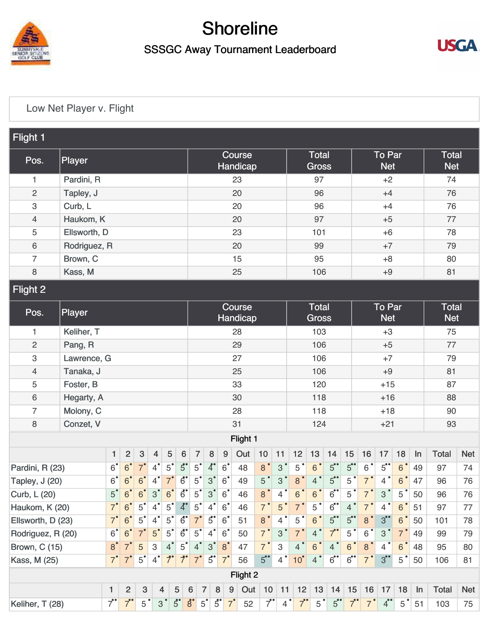

## Shoreline

## SSSGC Away Tournament Leaderboard



## [Low Net Player v. Flight](https://cdn2.golfgenius.com/v2tournaments/5248390364590508323)

| Flight 1                  |              |                |                |                           |                           |               |                                     |                    |                                  |                  |               |                |                           |                              |                |                   |                   |                             |                |                |     |                            |            |  |
|---------------------------|--------------|----------------|----------------|---------------------------|---------------------------|---------------|-------------------------------------|--------------------|----------------------------------|------------------|---------------|----------------|---------------------------|------------------------------|----------------|-------------------|-------------------|-----------------------------|----------------|----------------|-----|----------------------------|------------|--|
| Pos.                      | Player       |                |                |                           |                           |               |                                     | Course<br>Handicap |                                  |                  |               |                |                           | <b>Total</b><br><b>Gross</b> |                |                   |                   | <b>To Par</b><br><b>Net</b> |                |                |     | <b>Total</b><br><b>Net</b> |            |  |
| 1                         | Pardini, R   |                |                |                           |                           |               |                                     | 23                 |                                  |                  |               |                |                           | 97                           |                |                   |                   | $+2$                        |                |                |     | 74                         |            |  |
| $\overline{c}$            | Tapley, J    |                |                |                           |                           |               |                                     |                    |                                  |                  | 20            |                |                           | 96                           |                |                   |                   | $+4$                        |                |                |     | 76                         |            |  |
| $\ensuremath{\mathsf{3}}$ | Curb, L      |                |                |                           |                           |               |                                     |                    |                                  |                  | 20            |                |                           | 96                           |                |                   |                   | $+4$                        |                |                |     | 76                         |            |  |
| $\overline{4}$            | Haukom, K    |                |                |                           |                           |               |                                     |                    |                                  |                  | 20            |                |                           | 97                           |                |                   |                   | $+5$                        |                |                |     | 77                         |            |  |
| 5                         | Ellsworth, D |                |                |                           |                           |               |                                     |                    |                                  |                  | 23            |                |                           | 101                          |                |                   |                   |                             | $+6$           |                |     | 78                         |            |  |
| $\,6\,$                   | Rodriguez, R |                |                |                           |                           |               |                                     |                    |                                  |                  | 20            |                |                           | 99                           |                |                   |                   | $+7$                        |                |                |     | 79                         |            |  |
| $\overline{7}$            | Brown, C     |                |                |                           |                           |               |                                     |                    |                                  |                  | 15            |                |                           | 95                           |                |                   |                   | $+8$                        |                |                |     | 80                         |            |  |
| 8                         | Kass, M      |                |                |                           |                           |               |                                     |                    |                                  |                  | 25            |                |                           | 106                          |                |                   |                   | $+9$                        |                |                |     | 81                         |            |  |
| <b>Flight 2</b>           |              |                |                |                           |                           |               |                                     |                    |                                  |                  |               |                |                           |                              |                |                   |                   |                             |                |                |     |                            |            |  |
| Pos.                      | Player       |                |                |                           |                           |               | Course<br>Handicap                  |                    |                                  |                  |               |                |                           | <b>Total</b><br><b>Gross</b> |                |                   |                   | <b>To Par</b><br><b>Net</b> |                |                |     | <b>Total</b><br><b>Net</b> |            |  |
| 1                         | Keliher, T   |                |                |                           |                           |               |                                     |                    |                                  |                  | 28            |                |                           | 103                          |                |                   |                   | $+3$                        |                |                |     | 75                         |            |  |
| $\mathbf{2}$              | Pang, R      |                |                |                           |                           |               |                                     |                    |                                  |                  | 29            |                |                           | 106                          |                |                   |                   | $+5$                        |                |                |     | 77                         |            |  |
| $\ensuremath{\mathsf{3}}$ | Lawrence, G  |                |                |                           |                           |               |                                     |                    |                                  |                  | 27            |                |                           | 106                          |                |                   |                   | $+7$                        |                |                |     | 79                         |            |  |
| $\overline{4}$            | Tanaka, J    |                |                |                           |                           |               |                                     |                    |                                  |                  | 25            |                |                           | 106                          |                |                   |                   | $+9$                        |                |                |     | 81                         |            |  |
| $\mathbf 5$               | Foster, B    |                |                |                           |                           |               |                                     | 33                 |                                  |                  |               |                |                           |                              | 120            |                   |                   |                             | $+15$          |                |     |                            | 87         |  |
| $\,6\,$                   | Hegarty, A   |                |                |                           |                           |               |                                     |                    |                                  |                  | 30            |                |                           | 118                          |                |                   |                   |                             | $+16$          |                | 88  |                            |            |  |
| $\overline{7}$            | Molony, C    |                |                |                           |                           |               |                                     |                    |                                  |                  | 28            |                |                           | 118                          |                |                   |                   |                             | $+18$          |                | 90  |                            |            |  |
| $\,8\,$                   | Conzet, V    |                |                |                           |                           |               |                                     |                    |                                  |                  | 31            |                |                           | 124                          |                |                   |                   | $+21$                       |                |                |     | 93                         |            |  |
| Flight 1                  |              |                |                |                           |                           |               |                                     |                    |                                  |                  |               |                |                           |                              |                |                   |                   |                             |                |                |     |                            |            |  |
|                           |              |                | $\overline{2}$ | $\ensuremath{\mathsf{3}}$ | $\overline{4}$            | 5             | $\bf 6$                             | $\overline{7}$     | $\bf 8$                          | $\boldsymbol{9}$ | Out           | 10             | 11                        | 12                           | 13             | 14                | 15                | 16                          | 17             | 18             | In  | <b>Total</b>               | <b>Net</b> |  |
| Pardini, R (23)           |              | $6^{\degree}$  | $6^{\bullet}$  | 7 <sup>°</sup>            | $4^{\bullet}$             | $5^{\bullet}$ | $5^{\circ}$                         | $5^{\degree}$      | $\boldsymbol{\Lambda}^{\bullet}$ | $6^{\degree}$    | 48            | 8 <sup>°</sup> | $\,$ 3 $\,$               | $5^{\degree}$                | $\sqrt{6}$     | 5                 | $5^{\circ}$       | $6^{\degree}$               | $5^{\circ}$    | 6 <sup>°</sup> | 49  | 97                         | 74         |  |
| Tapley, J (20)            |              |                | $6^{\bullet}$  | 6 <sup>°</sup>            | $\overline{4}$            | $7^{\circ}$   | $\overline{6}$                      | $5^{\degree}$      | 3 <sup>°</sup>                   | $6^{\degree}$    | 49            | $5^{\degree}$  | $\ensuremath{\mathsf{3}}$ | 8 <sup>°</sup>               | $4^{\degree}$  | 5                 | 5 <sup>°</sup>    | 7 <sup>°</sup>              | $\overline{4}$ | 6 <sup>°</sup> | 47  | 96                         | 76         |  |
| Curb, L (20)              |              |                | 6              | $6 \overline{6}$          | $\mathbf{3}$              | 6             | б                                   | 5                  | $\mathbf{3}$                     | $6^{\circ}$      | 46            | 8              | 4                         | 6                            | 6              | 6                 | 5                 |                             | 3              | 5              | 50  | 96                         | 76         |  |
| Haukom, K (20)            |              |                | 6 <sup>°</sup> | $5^{\degree}$             | $4^{\bullet}$             | $5^{\degree}$ | $\ddot{4}$                          | $5^{\degree}$      | $4^{\bullet}$                    | $6^{\degree}$    | 46            | $7^{\degree}$  | 5                         | $\overline{7}$               | 5 <sup>°</sup> | $6$ <sup>**</sup> | 4 <sup>°</sup>    | 7 <sup>°</sup>              | 4              | 6 <sup>°</sup> | 51  | 97                         | 77         |  |
| Ellsworth, D (23)         |              |                | 6 <sup>°</sup> | $5^{\degree}$             | $\overline{4}$            | $5^{\degree}$ | $6^{\circ}$                         | $7^{\circ}$        | $\overline{5}$                   | 6 <sup>°</sup>   | 51            | 8 <sup>°</sup> | $\overline{4}$            | 5                            | $\,6\,$        | 5                 | $5^{\circ}$       | 8 <sup>°</sup>              | 3              | 6 <sup>°</sup> | 50  | 101                        | 78         |  |
| Rodriguez, R (20)         |              |                | 6 <sup>°</sup> | $7^{\bullet}$             | 5 <sup>°</sup>            | $5^{\degree}$ | $6^{\circ}$                         | $5^{\degree}$      | $4^{\bullet}$                    | $6^{\degree}$    | 50            | 7 <sup>°</sup> | 3                         | 7'                           | $\overline{4}$ | $7^{\circ}$       | $5^{\degree}$     | $6^{\degree}$               | 3              | $7^{'}$        | 49  | 99                         | 79         |  |
| <b>Brown, C (15)</b>      |              | 8 <sup>°</sup> | $\overline{7}$ | 5                         | $\ensuremath{\mathsf{3}}$ | $4^{\bullet}$ | 5 <sup>°</sup>                      | $4^{\degree}$      | 3 <sup>°</sup>                   | 8 <sup>°</sup>   | 47            | $7^{\circ}$    | $\ensuremath{\mathsf{3}}$ | 4 <sup>°</sup>               | $\,6\,$        | $\overline{4}$    | 6 <sup>°</sup>    | 8 <sup>°</sup>              | 4              | 6 <sup>°</sup> | 48  | 95                         | 80         |  |
| Kass, M (25)              |              | $7^{\circ}$    | $7^{\circ}$    | 5 <sup>°</sup>            | $\overline{4}$            | $7^{\circ}$   | $\overline{7}$                      | $7^{\circ}$        | $\overline{5}$                   | $7^{\degree}$    | 56            | 5              | $4^{\degree}$             | 10 <sup>°</sup>              | $\overline{4}$ | $6$ <sup>**</sup> | $6$ <sup>**</sup> | 7 <sup>°</sup>              | 3              | 5 <sup>°</sup> | 50  | 106                        | 81         |  |
|                           |              |                |                |                           |                           |               |                                     |                    |                                  |                  | Flight 2      |                |                           |                              |                |                   |                   |                             |                |                |     |                            |            |  |
|                           |              |                | $\overline{2}$ | 3                         | $\overline{4}$            |               | 5                                   | $6\phantom{1}6$    | $\overline{7}$                   | 9<br>8           | Out           | 10             | 11                        | 12 <sup>°</sup>              | 13             | 14                | 15                | 16                          | 17             | 18             | In  | <b>Total</b>               | <b>Net</b> |  |
| Keliher, T (28)           | $7^{\circ}$  | $7^{\bullet}$  | $5^{\degree}$  |                           | 3 <sup>°</sup>            | $5^{\circ}$   | $\boldsymbol{\mathring{g}}^\bullet$ | 5 <sup>°</sup>     | $\ddot{5}$<br>$7^{\circ}$        | 52               | $7^{\bullet}$ | $4^{\degree}$  | $7^{\bullet}$             | $5^{\degree}$                | 5              | 7"                | $7^{\degree}$     | $4^{\bullet\bullet}$        | 5 <sup>°</sup> | 51             | 103 | 75                         |            |  |